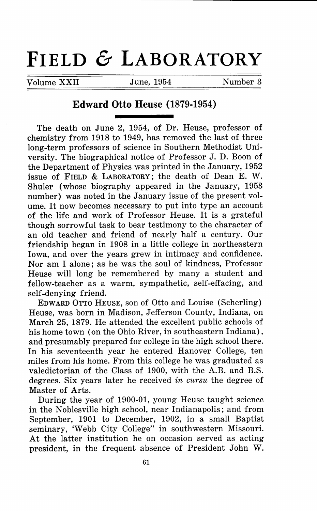## **FIELD & LABORATORY**

Volume XXII June, 1954 Number 3

## **Edward Otto Beuse (1879-1954)**

The death on June 2, 1954, of Dr. Heuse, professor of chemistry from 1918 to 1949, has removed the last of three long-term professors of science in Southern Methodist University. The biographical notice of Professor J. D. Boon of the Department of Physics was printed in the January, 1952 issue of FIELD & LABORATORY; the death of Dean E. w. Shuler (whose biography appeared in the January, 1953 number) was noted in the January issue of the present volume. It now becomes necessary to put into type an account of the life and work of Professor Heuse. It is a grateful though sorrowful task to bear testimony to the character of an old teacher and friend of nearly half a century. Our friendship began in 1908 in a little college in northeastern Iowa, and over the years grew in intimacy and confidence. Nor am I alone; as he was the soul of kindness, Professor Heuse will long be remembered by many a student and fellow-teacher as a warm, sympathetic, self-effacing, and self-denying friend.

EDWARD OTTO HEUSE, son of Otto and Louise (Scherling) Heuse, was born in Madison, Jefferson County, Indiana, on March 25, 1879. He attended the excellent public schools of his home town ( on the Ohio River, in southeastern Indiana), and presumably prepared for college in the high school there. In his seventeenth year he entered Hanover College, ten miles from his home. From this college he was graduated as valedictorian of the Class of 1900, with the A.B. and B.S. degrees. Six years later he received *in cursu* the degree of Master of Arts.

During the year of 1900-01, young Heuse taught science in the Noblesville high school, near Indianapolis; and from September, 1901 to December, 1902, in a small Baptist seminary, 'Webb City College" in southwestern Missouri. At the latter institution he on occasion served as acting president, in the frequent absence of President John W.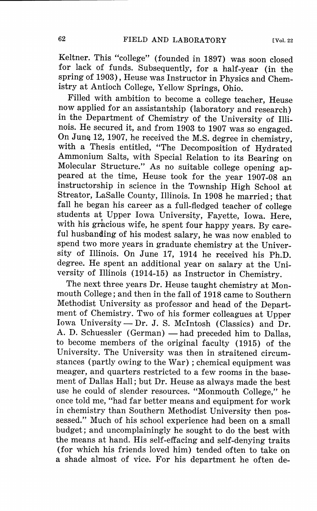Keltner. This "college" (founded in 1897) was soon closed for lack of funds. Subsequently, for a half-year (in the spring of 1903), Heuse was Instructor in Physics and Chemistry at Antioch College, Yellow Springs, Ohio.

Filled with ambition to become a college teacher, Heuse now applied for an assistantship (laboratory and research) in the Department of Chemistry of the University of Illinois. He secured it, and from 1903 to 1907 was so engaged. On June 12, 1907, he received the M.S. degree in chemistry, with a Thesis entitled, "The Decomposition of Hydrated Ammonium Salts, with Special Relation to its Bearing on Molecular Structure." As no suitable college opening appeared at the time, Heuse took for the year 1907-08 an instructorship in science in the Township High School at Streator, LaSalle County, Illinois. In 1908 he married; that fall he began his career as a full-fledged teacher of college students at Upper Iowa University, Fayette, Iowa. Here, with his gracious wife, he spent four happy years. By careful husbanding of his modest salary, he was now enabled to spend two more years in graduate chemistry at the University of Illinois. On June 17, 1914 he received his Ph.D. degree. He spent an additional year on salary at the University of Illinois (1914-15) as Instructor in Chemistry.

The next three years Dr. Heuse taught chemistry at Monmouth College; and then in the fall of 1918 came to Southern Methodist University as professor and head of the Department of Chemistry. Two of his former colleagues at Upper Iowa University - Dr. J. S. McIntosh (Classics) and Dr. A. D. Schuessler (German) - had preceded him to Dallas, to become members of the original faculty (1915) of the University. The University was then in straitened circumstances (partly owing to the War); chemical equipment was meager, and quarters restricted to a few rooms in the basement of Dallas Hall; but Dr. Heuse as always made the best use he could of slender resources. "Monmouth College," he once told me, "had far better means and equipment for work in chemistry than Southern Methodist University then possessed." Much of his school experience had been on a small budget; and uncomplainingly he sought to do the best with the means at hand. His self-effacing and self-denying traits (for which his friends loved him) tended often to take on a shade almost of vice. For his department he often de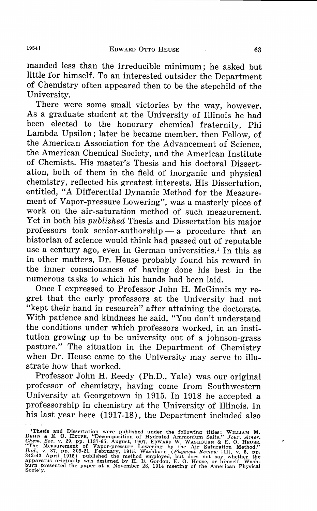manded less than the irreducible minimum; he asked but little for himself. To an interested outsider the Department of Chemistry often appeared then to be the stepchild of the University.

There were some small victories by the way, however. As a graduate student at the University of Illinois he had been elected to the honorary chemical fraternity, Phi Lambda Upsilon; later he became member, then Fellow, of the American Association for the Advancement *o{* Science, the American Chemical Society, and the American Institute of Chemists. His master's Thesis and his doctoral Dissertation, both of them in the field of inorganic and physical chemistry, reflected his greatest interests. His Dissertation, entitled, "A Differential Dynamic Method for the Measurement of Vapor-pressure Lowering", was a masterly piece of work on the air-saturation method of such measurement. Yet in both his *published* Thesis and Dissertation his major professors took senior-authorship  $-$  a procedure that an historian of science would think had passed out of reputable use a century ago, even in German universities.<sup>1</sup> In this as in other matters, Dr. Heuse probably found his reward in the inner consciousness of having done his best in the numerous tasks to which his hands had been laid.

Once I expressed to Professor John H. McGinnis my regret that the early professors at the University had not "kept their hand in research" after attaining the doctorate. With patience and kindness he said, "You don't understand the conditions under which professors worked, in an institution growing up to be university out of a johnson-grass pasture." The situation in the Department of Chemistry when Dr. Heuse came to the University may serve to illustrate how that worked.

Professor John H. Reedy (Ph.D., Yale) was our original professor of chemistry, having come from Southwestern University at Georgetown in 1915. In 1918 he accepted a professorship in chemistry at the University of Illinois. In his last year here (1917-18), the Department included also

<sup>&</sup>lt;sup>1</sup>Thesis and Dissertation were published under the following titles: WILLIAM M.<br>DEHN & E. O. HEUSE, "Decomposition of Hydrated Ammonium Salts." Jour. Amer.<br>Chem. Soc. v. 29, pp. 1137-65, August, 1907. Enwann W. WASHBURN & 342-43 April 1915) published the method employed, but does not say whether the apparatus originally was designed by H. B. Gordon, E. 0. Reuse. or himself. Washburn presented the paper at a November 28, 1914 meeting of the American Physica<br>Socie'y.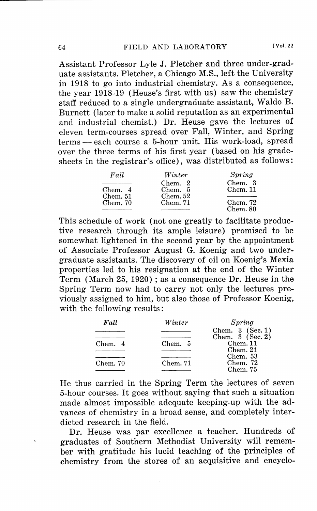Assistant Professor Lyle J. Pletcher and three under-graduate assistants. Pletcher, a Chicago M.S., left the University in 1918 to go into industrial chemistry. As a consequence, the year 1918-19 (Heuse's first with us) saw the chemistry staff reduced to a single undergraduate assistant, Waldo B. Burnett (later to make a solid reputation as an experimental and industrial chemist.) Dr. Reuse gave the lectures of eleven term-courses spread over Fall, Winter, and Spring terms - each course a 5-hour unit. His work-load, spread over the three terms of his first year (based on his gradesheets in the registrar's office), was distributed as follows:

| Fall     | Winter   | Spring   |
|----------|----------|----------|
|          | Chem. 2  | Chem. 3  |
| Chem. 4  | Chem. 5  | Chem. 11 |
| Chem. 51 | Chem. 52 |          |
| Chem. 70 | Chem. 71 | Chem. 72 |
|          |          | Chem. 80 |

This schedule of work (not one greatly to facilitate productive research through its ample leisure) promised to be somewhat lightened in the second year by the appointment of Associate Professor August G. Koenig and two undergraduate assistants. The discovery of oil on Koenig's Mexia properties led to his resignation at the end of the Winter Term (March 25, 1920); as a consequence Dr. Heuse in the Spring Term now had to carry not only the lectures previously assigned to him, but also those of Professor Koenig, with the following results:

| Fall     | Winter   | Spring             |
|----------|----------|--------------------|
|          |          | Chem. $3$ (Sec. 1) |
|          |          | Chem. $3$ (Sec. 2) |
| Chem. 4  | Chem. 5  | Chem. 11           |
|          |          | Chem. 21           |
|          |          | Chem. 53           |
| Chem. 70 | Chem. 71 | Chem. $72$         |
|          |          | Chem. 75           |

He thus carried in the Spring Term the lectures of seven 5-hour courses. It goes without saying that such a situation made almost impossible adequate keeping-up with the advances of chemistry in a broad sense, and completely interdicted research in the field.

Dr. Heuse was par excellence a teacher. Hundreds of graduates of Southern Methodist University will remember with gratitude his lucid teaching of the principles of chemistry from the stores of an acquisitive and encyclo